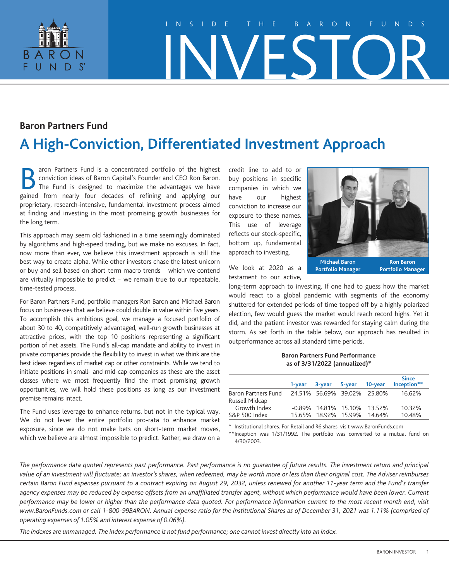

# INSIDE THE BARON FUNDS INVESTOR

## **Baron Partners Fund**

# **A High-Conviction, Differentiated Investment Approach**

aron Partners Fund is a concentrated portfolio of the highest<br>conviction ideas of Baron Capital's Founder and CEO Ron Baron.<br>The Fund is designed to maximize the advantages we have<br>gained from nearly four decades of refini conviction ideas of Baron Capital's Founder and CEO Ron Baron. The Fund is designed to maximize the advantages we have gained from nearly four decades of refining and applying our proprietary, research-intensive, fundamental investment process aimed at finding and investing in the most promising growth businesses for the long term.

This approach may seem old fashioned in a time seemingly dominated by algorithms and high-speed trading, but we make no excuses. In fact, now more than ever, we believe this investment approach is still the best way to create alpha. While other investors chase the latest unicorn or buy and sell based on short-term macro trends – which we contend are virtually impossible to predict – we remain true to our repeatable, time-tested process.

For Baron Partners Fund, portfolio managers Ron Baron and Michael Baron focus on businesses that we believe could double in value within five years. To accomplish this ambitious goal, we manage a focused portfolio of about 30 to 40, competitively advantaged, well-run growth businesses at attractive prices, with the top 10 positions representing a significant portion of net assets. The Fund's all-cap mandate and ability to invest in private companies provide the flexibility to invest in what we think are the best ideas regardless of market cap or other constraints. While we tend to initiate positions in small- and mid-cap companies as these are the asset classes where we most frequently find the most promising growth opportunities, we will hold these positions as long as our investment premise remains intact.

The Fund uses leverage to enhance returns, but not in the typical way. We do not lever the entire portfolio pro-rata to enhance market exposure, since we do not make bets on short-term market moves, which we believe are almost impossible to predict. Rather, we draw on a

credit line to add to or buy positions in specific companies in which we have our highest conviction to increase our exposure to these names. This use of leverage reflects our stock-specific, bottom up, fundamental approach to investing.



We look at 2020 as a testament to our active,

long-term approach to investing. If one had to guess how the market would react to a global pandemic with segments of the economy shuttered for extended periods of time topped off by a highly polarized election, few would guess the market would reach record highs. Yet it did, and the patient investor was rewarded for staying calm during the storm. As set forth in the table below, our approach has resulted in outperformance across all standard time periods.

#### **Baron Partners Fund Performance as of 3/31/2022 (annualized)\***

|                                | 1-year | 3-year                  | 5-year | 10-year                     | <b>Since</b><br>Inception** |
|--------------------------------|--------|-------------------------|--------|-----------------------------|-----------------------------|
| Baron Partners Fund            |        |                         |        | 24.51% 56.69% 39.02% 25.80% | 16.62%                      |
| Russell Midcap<br>Growth Index |        | $-0.89\%$ 14.81% 15.10% |        | 13.52%                      | 10.32%                      |
| S&P 500 Index                  |        | 15.65% 18.92% 15.99%    |        | 14.64%                      | 10.48%                      |

\* Institutional shares. For Retail and R6 shares, visit www.BaronFunds.com

\*\*Inception was 1/31/1992. The portfolio was converted to a mutual fund on 4/30/2003.

*The indexes are unmanaged. The index performance is not fund performance; one cannot invest directly into an index.*

*The performance data quoted represents past performance. Past performance is no guarantee of future results. The investment return and principal value of an investment will fluctuate; an investor's shares, when redeemed, may be worth more or less than their original cost. The Adviser reimburses certain Baron Fund expenses pursuant to a contract expiring on August 29, 2032, unless renewed for another 11-year term and the Fund's transfer agency expenses may be reduced by expense offsets from an unaffiliated transfer agent, without which performance would have been lower. Current performance may be lower or higher than the performance data quoted. For performance information current to the most recent month end, visit www.BaronFunds.com or call 1-800-99BARON. Annual expense ratio for the Institutional Shares as of December 31, 2021 was 1.11% (comprised of operating expenses of 1.05% and interest expense of 0.06%).*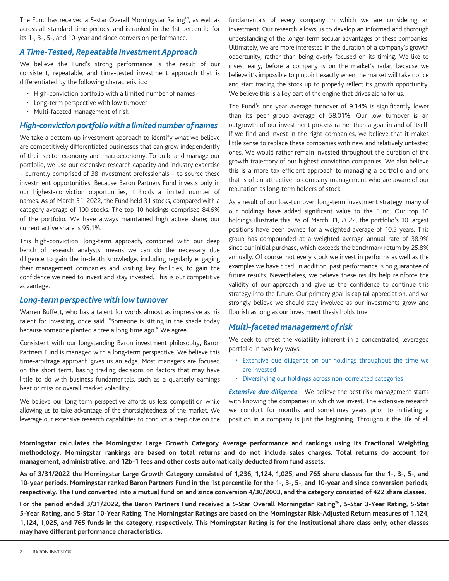The Fund has received a 5-star Overall Morningstar Rating™, as well as across all standard time periods, and is ranked in the 1st percentile for its 1-, 3-, 5-, and 10-year and since conversion performance.

#### *A Time-Tested, Repeatable Investment Approach*

We believe the Fund's strong performance is the result of our consistent, repeatable, and time-tested investment approach that is differentiated by the following characteristics:

- High-conviction portfolio with a limited number of names
- Long-term perspective with low turnover
- Multi-faceted management of risk

#### *High-conviction portfolio with alimited number of names*

We take a bottom-up investment approach to identify what we believe are competitively differentiated businesses that can grow independently of their sector economy and macroeconomy. To build and manage our portfolio, we use our extensive research capacity and industry expertise – currently comprised of 38 investment professionals – to source these investment opportunities. Because Baron Partners Fund invests only in our highest-conviction opportunities, it holds a limited number of names. As of March 31, 2022, the Fund held 31 stocks, compared with a category average of 100 stocks. The top 10 holdings comprised 84.6% of the portfolio. We have always maintained high active share; our current active share is 95.1%.

This high-conviction, long-term approach, combined with our deep bench of research analysts, means we can do the necessary due diligence to gain the in-depth knowledge, including regularly engaging their management companies and visiting key facilities, to gain the confidence we need to invest and stay invested. This is our competitive advantage.

#### *Long-term perspective with low turnover*

Warren Buffett, who has a talent for words almost as impressive as his talent for investing, once said, "Someone is sitting in the shade today because someone planted a tree a long time ago." We agree.

Consistent with our longstanding Baron investment philosophy, Baron Partners Fund is managed with a long-term perspective. We believe this time-arbitrage approach gives us an edge. Most managers are focused on the short term, basing trading decisions on factors that may have little to do with business fundamentals, such as a quarterly earnings beat or miss or overall market volatility.

We believe our long-term perspective affords us less competition while allowing us to take advantage of the shortsightedness of the market. We leverage our extensive research capabilities to conduct a deep dive on the

fundamentals of every company in which we are considering an investment. Our research allows us to develop an informed and thorough understanding of the longer-term secular advantages of these companies. Ultimately, we are more interested in the duration of a company's growth opportunity, rather than being overly focused on its timing. We like to invest early, before a company is on the market's radar, because we believe it's impossible to pinpoint exactly when the market will take notice and start trading the stock up to properly reflect its growth opportunity. We believe this is a key part of the engine that drives alpha for us.

The Fund's one-year average turnover of 9.14% is significantly lower than its peer group average of 58.01%. Our low turnover is an outgrowth of our investment process rather than a goal in and of itself. If we find and invest in the right companies, we believe that it makes little sense to replace these companies with new and relatively untested ones. We would rather remain invested throughout the duration of the growth trajectory of our highest conviction companies. We also believe this is a more tax efficient approach to managing a portfolio and one that is often attractive to company management who are aware of our reputation as long-term holders of stock.

As a result of our low-turnover, long-term investment strategy, many of our holdings have added significant value to the Fund. Our top 10 holdings illustrate this. As of March 31, 2022, the portfolio's 10 largest positions have been owned for a weighted average of 10.5 years. This group has compounded at a weighted average annual rate of 38.9% since our initial purchase, which exceeds the benchmark return by 25.8% annually. Of course, not every stock we invest in performs as well as the examples we have cited. In addition, past performance is no guarantee of future results. Nevertheless, we believe these results help reinforce the validity of our approach and give us the confidence to continue this strategy into the future. Our primary goal is capital appreciation, and we strongly believe we should stay involved as our investments grow and flourish as long as our investment thesis holds true.

#### *Multi-faceted management of risk*

We seek to offset the volatility inherent in a concentrated, leveraged portfolio in two key ways:

- Extensive due diligence on our holdings throughout the time we are invested
- Diversifying our holdings across non-correlated categories

*Extensive due diligence* We believe the best risk management starts with knowing the companies in which we invest. The extensive research we conduct for months and sometimes years prior to initiating a position in a company is just the beginning. Throughout the life of all

**Morningstar calculates the Morningstar Large Growth Category Average performance and rankings using its Fractional Weighting methodology. Morningstar rankings are based on total returns and do not include sales charges. Total returns do account for management, administrative, and 12b-1 fees and other costs automatically deducted from fund assets.**

**As of 3/31/2022 the Morningstar Large Growth Category consisted of 1,236, 1,124, 1,025, and 765 share classes for the 1-, 3-, 5-, and 10-year periods. Morningstar ranked Baron Partners Fund in the 1st percentile for the 1-, 3-, 5-, and 10-year and since conversion periods, respectively. The Fund converted into a mutual fund on and since conversion 4/30/2003, and the category consisted of 422 share classes.**

**For the period ended 3/31/2022, the Baron Partners Fund received a 5-Star Overall Morningstar Rating™, 5-Star 3-Year Rating, 5-Star 5-Year Rating, and 5-Star 10-Year Rating. The Morningstar Ratings are based on the Morningstar Risk-Adjusted Return measures of 1,124, 1,124, 1,025, and 765 funds in the category, respectively. This Morningstar Rating is for the Institutional share class only; other classes may have different performance characteristics.**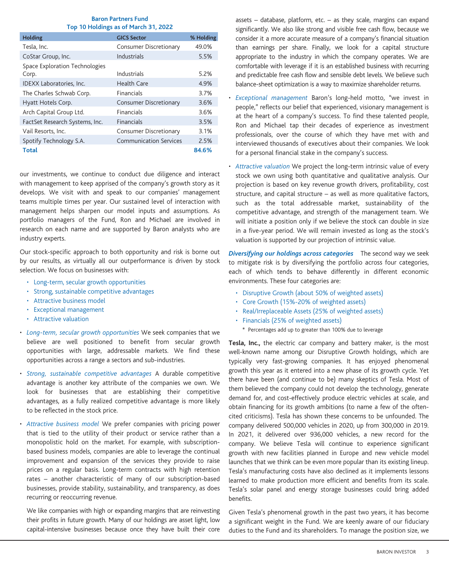#### **Baron Partners Fund Top 10 Holdings as of March 31, 2022**

| Holding                        | <b>GICS Sector</b>            | % Holding |
|--------------------------------|-------------------------------|-----------|
| Tesla, Inc.                    | Consumer Discretionary        | 49.0%     |
| CoStar Group, Inc.             | Industrials                   | 5.5%      |
| Space Exploration Technologies |                               |           |
| Corp.                          | Industrials                   | 5.2%      |
| IDEXX Laboratories, Inc.       | Health Care                   | 4.9%      |
| The Charles Schwab Corp.       | Financials                    | 3.7%      |
| Hyatt Hotels Corp.             | <b>Consumer Discretionary</b> | 3.6%      |
| Arch Capital Group Ltd.        | Financials                    | 3.6%      |
| FactSet Research Systems, Inc. | Financials                    | 3.5%      |
| Vail Resorts, Inc.             | Consumer Discretionary        | 3.1%      |
| Spotify Technology S.A.        | <b>Communication Services</b> | 2.5%      |
| <b>Total</b>                   |                               | 84.6%     |

our investments, we continue to conduct due diligence and interact with management to keep apprised of the company's growth story as it develops. We visit with and speak to our companies' management teams multiple times per year. Our sustained level of interaction with management helps sharpen our model inputs and assumptions. As portfolio managers of the Fund, Ron and Michael are involved in research on each name and are supported by Baron analysts who are industry experts.

Our stock-specific approach to both opportunity and risk is borne out by our results, as virtually all our outperformance is driven by stock selection. We focus on businesses with:

- Long-term, secular growth opportunities
- Strong, sustainable competitive advantages
- Attractive business model
- Exceptional management
- Attractive valuation
- *Long-term, secular growth opportunities* We seek companies that we believe are well positioned to benefit from secular growth opportunities with large, addressable markets. We find these opportunities across a range a sectors and sub-industries.
- *Strong, sustainable competitive advantages* A durable competitive advantage is another key attribute of the companies we own. We look for businesses that are establishing their competitive advantages, as a fully realized competitive advantage is more likely to be reflected in the stock price.
- *Attractive business model* We prefer companies with pricing power that is tied to the utility of their product or service rather than a monopolistic hold on the market. For example, with subscriptionbased business models, companies are able to leverage the continual improvement and expansion of the services they provide to raise prices on a regular basis. Long-term contracts with high retention rates – another characteristic of many of our subscription-based businesses, provide stability, sustainability, and transparency, as does recurring or reoccurring revenue.

We like companies with high or expanding margins that are reinvesting their profits in future growth. Many of our holdings are asset light, low capital-intensive businesses because once they have built their core assets  $-$  database, platform, etc.  $-$  as they scale, margins can expand significantly. We also like strong and visible free cash flow, because we consider it a more accurate measure of a company's financial situation than earnings per share. Finally, we look for a capital structure appropriate to the industry in which the company operates. We are comfortable with leverage if it is an established business with recurring and predictable free cash flow and sensible debt levels. We believe such balance-sheet optimization is a way to maximize shareholder returns.

- *Exceptional management* Baron's long-held motto, "we invest in people," reflects our belief that experienced, visionary management is at the heart of a company's success. To find these talented people, Ron and Michael tap their decades of experience as investment professionals, over the course of which they have met with and interviewed thousands of executives about their companies. We look for a personal financial stake in the company's success.
- *Attractive valuation* We project the long-term intrinsic value of every stock we own using both quantitative and qualitative analysis. Our projection is based on key revenue growth drivers, profitability, cost structure, and capital structure – as well as more qualitative factors, such as the total addressable market, sustainability of the competitive advantage, and strength of the management team. We will initiate a position only if we believe the stock can double in size in a five-year period. We will remain invested as long as the stock's valuation is supported by our projection of intrinsic value.

*Diversifying our holdings across categories* The second way we seek to mitigate risk is by diversifying the portfolio across four categories, each of which tends to behave differently in different economic environments. These four categories are:

- Disruptive Growth (about 50% of weighted assets)
- Core Growth (15%-20% of weighted assets)
- Real/Irreplaceable Assets (25% of weighted assets)
- Financials (25% of weighted assets)
	- \* Percentages add up to greater than 100% due to leverage

**Tesla, Inc.,** the electric car company and battery maker, is the most well-known name among our Disruptive Growth holdings, which are typically very fast-growing companies. It has enjoyed phenomenal growth this year as it entered into a new phase of its growth cycle. Yet there have been (and continue to be) many skeptics of Tesla. Most of them believed the company could not develop the technology, generate demand for, and cost-effectively produce electric vehicles at scale, and obtain financing for its growth ambitions (to name a few of the oftencited criticisms). Tesla has shown these concerns to be unfounded. The company delivered 500,000 vehicles in 2020, up from 300,000 in 2019. In 2021, it delivered over 936,000 vehicles, a new record for the company. We believe Tesla will continue to experience significant growth with new facilities planned in Europe and new vehicle model launches that we think can be even more popular than its existing lineup. Tesla's manufacturing costs have also declined as it implements lessons learned to make production more efficient and benefits from its scale. Tesla's solar panel and energy storage businesses could bring added benefits.

Given Tesla's phenomenal growth in the past two years, it has become a significant weight in the Fund. We are keenly aware of our fiduciary duties to the Fund and its shareholders. To manage the position size, we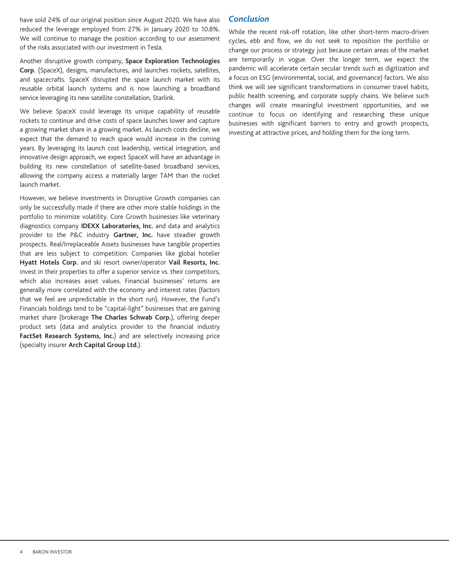have sold 24% of our original position since August 2020. We have also reduced the leverage employed from 27% in January 2020 to 10.8%. We will continue to manage the position according to our assessment of the risks associated with our investment in Tesla.

Another disruptive growth company, **Space Exploration Technologies Corp.** (SpaceX), designs, manufactures, and launches rockets, satellites, and spacecrafts. SpaceX disrupted the space launch market with its reusable orbital launch systems and is now launching a broadband service leveraging its new satellite constellation, Starlink.

We believe SpaceX could leverage its unique capability of reusable rockets to continue and drive costs of space launches lower and capture a growing market share in a growing market. As launch costs decline, we expect that the demand to reach space would increase in the coming years. By leveraging its launch cost leadership, vertical integration, and innovative design approach, we expect SpaceX will have an advantage in building its new constellation of satellite-based broadband services, allowing the company access a materially larger TAM than the rocket launch market.

However, we believe investments in Disruptive Growth companies can only be successfully made if there are other more stable holdings in the portfolio to minimize volatility. Core Growth businesses like veterinary diagnostics company **IDEXX Laboratories, Inc.** and data and analytics provider to the P&C industry **Gartner, Inc.** have steadier growth prospects. Real/Irreplaceable Assets businesses have tangible properties that are less subject to competition. Companies like global hotelier **Hyatt Hotels Corp.** and ski resort owner/operator **Vail Resorts, Inc.** invest in their properties to offer a superior service vs. their competitors, which also increases asset values. Financial businesses' returns are generally more correlated with the economy and interest rates (factors that we feel are unpredictable in the short run). However, the Fund's Financials holdings tend to be "capital-light" businesses that are gaining market share (brokerage **The Charles Schwab Corp.**), offering deeper product sets (data and analytics provider to the financial industry **FactSet Research Systems, Inc.**) and are selectively increasing price (specialty insurer **Arch Capital Group Ltd.**).

### *Conclusion*

While the recent risk-off rotation, like other short-term macro-driven cycles, ebb and flow, we do not seek to reposition the portfolio or change our process or strategy just because certain areas of the market are temporarily in vogue. Over the longer term, we expect the pandemic will accelerate certain secular trends such as digitization and a focus on ESG (environmental, social, and governance) factors. We also think we will see significant transformations in consumer travel habits, public health screening, and corporate supply chains. We believe such changes will create meaningful investment opportunities, and we continue to focus on identifying and researching these unique businesses with significant barriers to entry and growth prospects, investing at attractive prices, and holding them for the long term.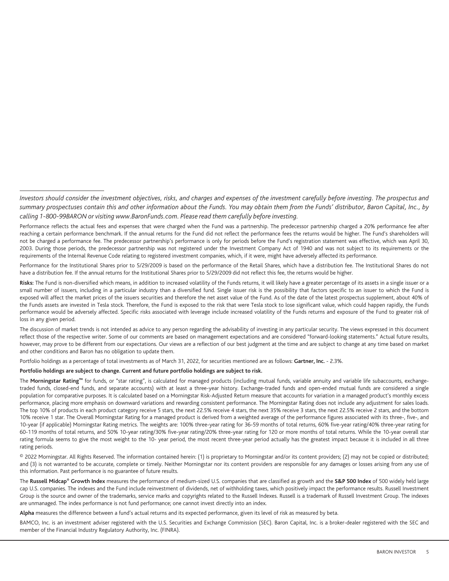Performance for the Institutional Shares prior to 5/29/2009 is based on the performance of the Retail Shares, which have a distribution fee. The Institutional Shares do not have a distribution fee. If the annual returns for the Institutional Shares prior to 5/29/2009 did not reflect this fee, the returns would be higher.

Risks: The Fund is non-diversified which means, in addition to increased volatility of the Funds returns, it will likely have a greater percentage of its assets in a single issuer or a small number of issuers, including in a particular industry than a diversified fund. Single issuer risk is the possibility that factors specific to an issuer to which the Fund is exposed will affect the market prices of the issuers securities and therefore the net asset value of the Fund. As of the date of the latest prospectus supplement, about 40% of the Funds assets are invested in Tesla stock. Therefore, the Fund is exposed to the risk that were Tesla stock to lose significant value, which could happen rapidly, the Funds performance would be adversely affected. Specific risks associated with leverage include increased volatility of the Funds returns and exposure of the Fund to greater risk of loss in any given period.

The discussion of market trends is not intended as advice to any person regarding the advisability of investing in any particular security. The views expressed in this document reflect those of the respective writer. Some of our comments are based on management expectations and are considered "forward-looking statements." Actual future results, however, may prove to be different from our expectations. Our views are a reflection of our best judgment at the time and are subject to change at any time based on market and other conditions and Baron has no obligation to update them.

Portfolio holdings as a percentage of total investments as of March 31, 2022, for securities mentioned are as follows: **Gartner, Inc.** - 2.3%.

#### **Portfolio holdings are subject to change. Current and future portfolio holdings are subject to risk.**

The **Morningstar Rating™** for funds, or "star rating", is calculated for managed products (including mutual funds, variable annuity and variable life subaccounts, exchangetraded funds, closed-end funds, and separate accounts) with at least a three-year history. Exchange-traded funds and open-ended mutual funds are considered a single population for comparative purposes. It is calculated based on a Morningstar Risk-Adjusted Return measure that accounts for variation in a managed product's monthly excess performance, placing more emphasis on downward variations and rewarding consistent performance. The Morningstar Rating does not include any adjustment for sales loads. The top 10% of products in each product category receive 5 stars, the next 22.5% receive 4 stars, the next 35% receive 3 stars, the next 22.5% receive 2 stars, and the bottom 10% receive 1 star. The Overall Morningstar Rating for a managed product is derived from a weighted average of the performance figures associated with its three-, five-, and 10-year (if applicable) Morningstar Rating metrics. The weights are: 100% three-year rating for 36-59 months of total returns, 60% five-year rating/40% three-year rating for 60-119 months of total returns, and 50% 10-year rating/30% five-year rating/20% three-year rating for 120 or more months of total returns. While the 10-year overall star rating formula seems to give the most weight to the 10- year period, the most recent three-year period actually has the greatest impact because it is included in all three rating periods.

© 2022 Morningstar. All Rights Reserved. The information contained herein: (1) is proprietary to Morningstar and/or its content providers; (2) may not be copied or distributed; and (3) is not warranted to be accurate, complete or timely. Neither Morningstar nor its content providers are responsible for any damages or losses arising from any use of this information. Past performance is no guarantee of future results.

The **Russell Midcap® Growth Index** measures the performance of medium-sized U.S. companies that are classified as growth and the **S&P 500 Index** of 500 widely held large cap U.S. companies. The indexes and the Fund include reinvestment of dividends, net of withholding taxes, which positively impact the performance results. Russell Investment Group is the source and owner of the trademarks, service marks and copyrights related to the Russell Indexes. Russell is a trademark of Russell Investment Group. The indexes are unmanaged. The index performance is not fund performance; one cannot invest directly into an index.

**Alpha** measures the difference between a fund's actual returns and its expected performance, given its level of risk as measured by beta.

BAMCO, Inc. is an investment adviser registered with the U.S. Securities and Exchange Commission (SEC). Baron Capital, Inc. is a broker-dealer registered with the SEC and member of the Financial Industry Regulatory Authority, Inc. (FINRA).

*Investors should consider the investment objectives, risks, and charges and expenses of the investment carefully before investing. The prospectus and summary prospectuses contain this and other information about the Funds. You may obtain them from the Funds' distributor, Baron Capital, Inc., by calling 1-800-99BARON or visiting www.BaronFunds.com. Please read them carefully before investing.*

Performance reflects the actual fees and expenses that were charged when the Fund was a partnership. The predecessor partnership charged a 20% performance fee after reaching a certain performance benchmark. If the annual returns for the Fund did not reflect the performance fees the returns would be higher. The Fund's shareholders will not be charged a performance fee. The predecessor partnership's performance is only for periods before the Fund's registration statement was effective, which was April 30, 2003. During those periods, the predecessor partnership was not registered under the Investment Company Act of 1940 and was not subject to its requirements or the requirements of the Internal Revenue Code relating to registered investment companies, which, if it were, might have adversely affected its performance.